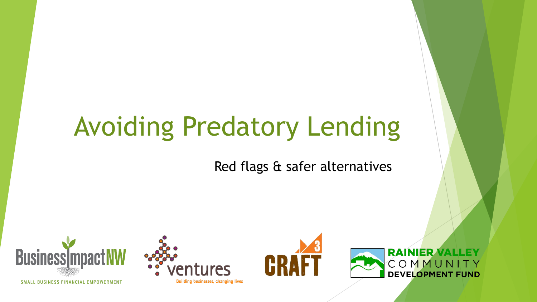# Avoiding Predatory Lending

#### Red flags & safer alternatives



SMALL BUSINESS FINANCIAL EMPOWERMENT





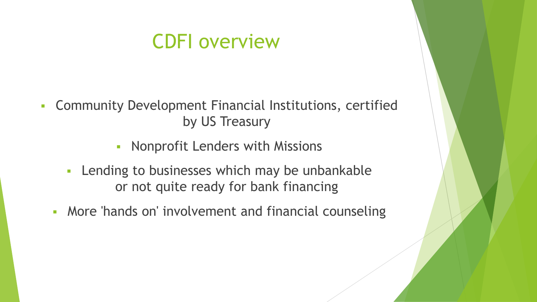### CDFI overview

- Community Development Financial Institutions, certified by US Treasury
	- **EXECUTE: Nonprofit Lenders with Missions**
	- **EXEC** Lending to businesses which may be unbankable or not quite ready for bank financing
	- **More 'hands on' involvement and financial counseling**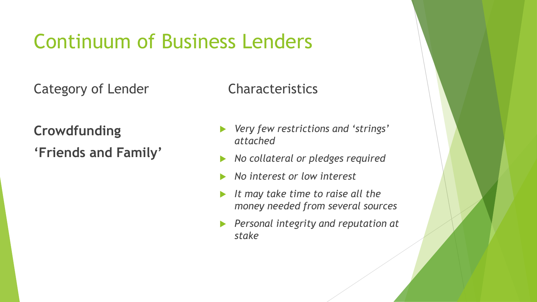Category of Lender

**Crowdfunding 'Friends and Family'**

- *Very few restrictions and 'strings' attached*
- *No collateral or pledges required*
- *No interest or low interest*
- *It may take time to raise all the money needed from several sources*
- *Personal integrity and reputation at stake*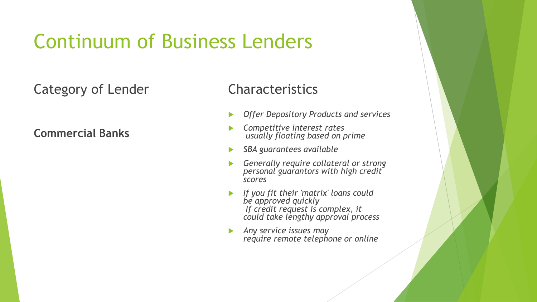#### Category of Lender

**Commercial Banks**

- *Offer Depository Products and services*
- *Competitive interest rates usually floating based on prime*
- *SBA guarantees available*
- *Generally require collateral or strong personal guarantors with high credit scores*
- *If you fit their 'matrix' loans could be approved quickly If credit request is complex, it could take lengthy approval process*
- *Any service issues may require remote telephone or online*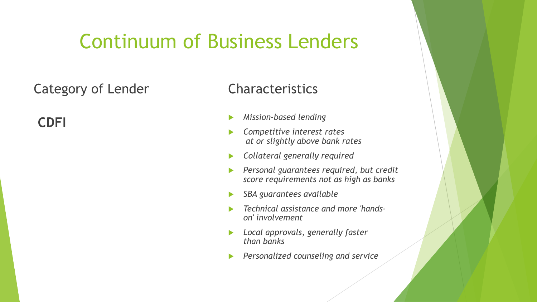#### Category of Lender

**CDFI**

- *Mission-based lending*
- *Competitive interest rates at or slightly above bank rates*
- *Collateral generally required*
- *Personal guarantees required, but credit score requirements not as high as banks*
- *SBA guarantees available*
- *Technical assistance and more 'handson' involvement*
- *Local approvals, generally faster than banks*
- *Personalized counseling and service*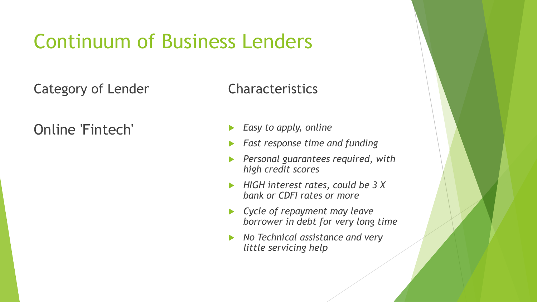Category of Lender

Online 'Fintech'

- *Easy to apply, online*
- *Fast response time and funding*
- *Personal guarantees required, with high credit scores*
- *HIGH interest rates, could be 3 X bank or CDFI rates or more*
- *Cycle of repayment may leave borrower in debt for very long time*
- *No Technical assistance and very little servicing help*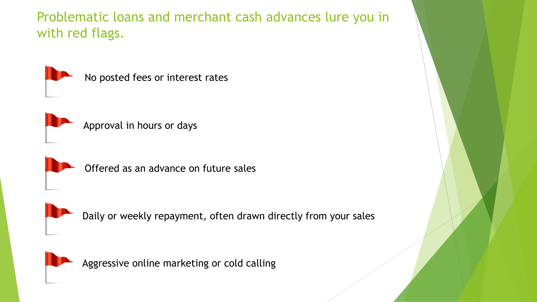Problematic loans and merchant cash advances lure you in with red flags.



No posted fees or interest rates



Approval in hours or days



Offered as an advance on future sales



Daily or weekly repayment, often drawn directly from your sales



Aggressive online marketing or cold calling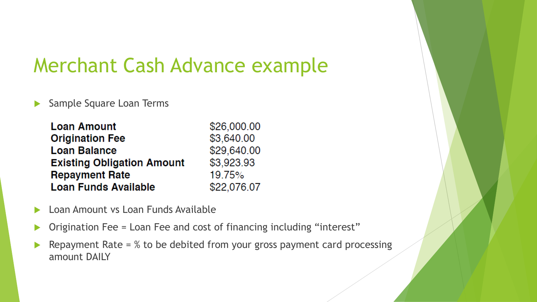### Merchant Cash Advance example

Sample Square Loan Terms

| <b>Loan Amount</b>                | \$26,000.00 |
|-----------------------------------|-------------|
| <b>Origination Fee</b>            | \$3,640.00  |
| <b>Loan Balance</b>               | \$29,640.00 |
| <b>Existing Obligation Amount</b> | \$3,923.93  |
| <b>Repayment Rate</b>             | 19.75%      |
| <b>Loan Funds Available</b>       | \$22,076.07 |

- Loan Amount vs Loan Funds Available
- ▶ Origination Fee = Loan Fee and cost of financing including "interest"
- Repayment Rate =  $%$  to be debited from your gross payment card processing amount DAILY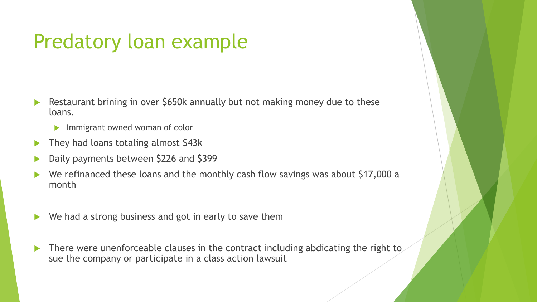### Predatory loan example

- Restaurant brining in over \$650k annually but not making money due to these loans.
	- Immigrant owned woman of color
- They had loans totaling almost \$43k
- Daily payments between \$226 and \$399
- We refinanced these loans and the monthly cash flow savings was about \$17,000 a month
- $\blacktriangleright$  We had a strong business and got in early to save them
- There were unenforceable clauses in the contract including abdicating the right to sue the company or participate in a class action lawsuit